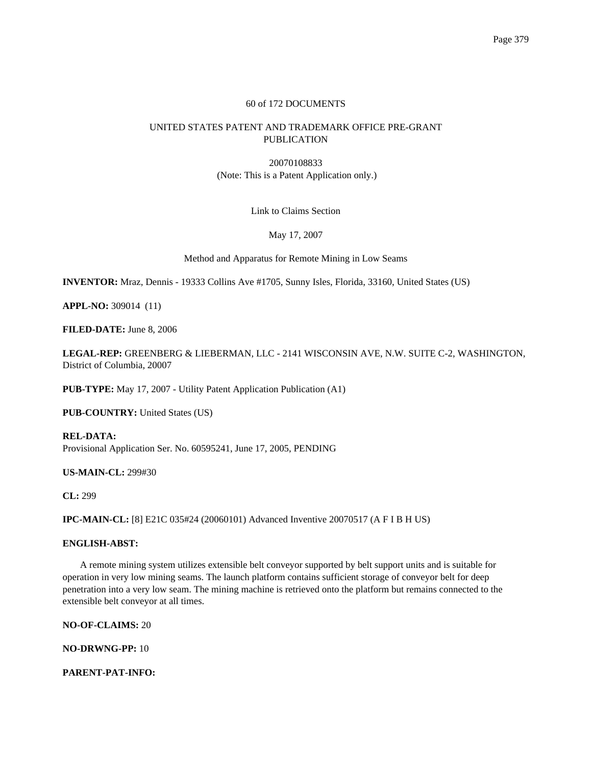# 60 of 172 DOCUMENTS

# UNITED STATES PATENT AND TRADEMARK OFFICE PRE-GRANT PUBLICATION

20070108833 (Note: This is a Patent Application only.)

Link to Claims Section

May 17, 2007

Method and Apparatus for Remote Mining in Low Seams

**INVENTOR:** Mraz, Dennis - 19333 Collins Ave #1705, Sunny Isles, Florida, 33160, United States (US)

**APPL-NO:** 309014 (11)

**FILED-DATE:** June 8, 2006

**LEGAL-REP:** GREENBERG & LIEBERMAN, LLC - 2141 WISCONSIN AVE, N.W. SUITE C-2, WASHINGTON, District of Columbia, 20007

**PUB-TYPE:** May 17, 2007 - Utility Patent Application Publication (A1)

**PUB-COUNTRY:** United States (US)

**REL-DATA:** Provisional Application Ser. No. 60595241, June 17, 2005, PENDING

**US-MAIN-CL:** 299#30

**CL:** 299

**IPC-MAIN-CL:** [8] E21C 035#24 (20060101) Advanced Inventive 20070517 (A F I B H US)

# **ENGLISH-ABST:**

A remote mining system utilizes extensible belt conveyor supported by belt support units and is suitable for operation in very low mining seams. The launch platform contains sufficient storage of conveyor belt for deep penetration into a very low seam. The mining machine is retrieved onto the platform but remains connected to the extensible belt conveyor at all times.

**NO-OF-CLAIMS:** 20

**NO-DRWNG-PP:** 10

**PARENT-PAT-INFO:**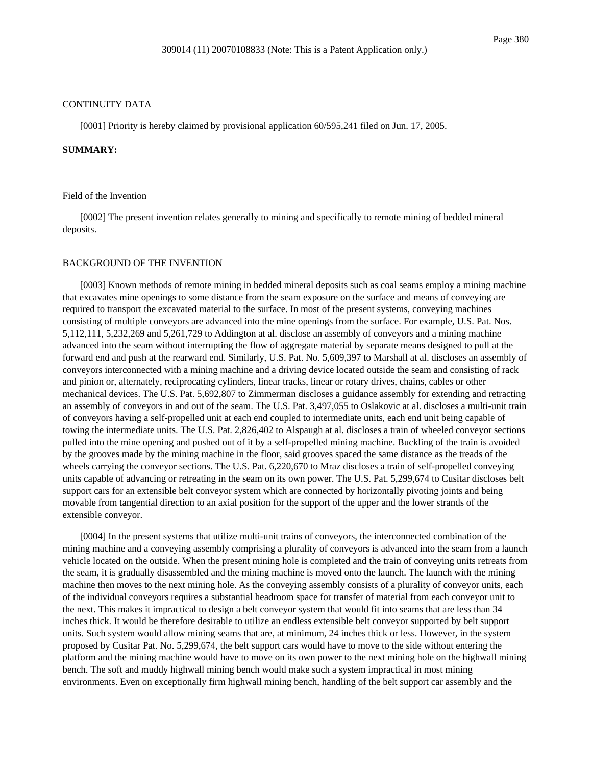#### CONTINUITY DATA

[0001] Priority is hereby claimed by provisional application 60/595,241 filed on Jun. 17, 2005.

### **SUMMARY:**

#### Field of the Invention

[0002] The present invention relates generally to mining and specifically to remote mining of bedded mineral deposits.

### BACKGROUND OF THE INVENTION

[0003] Known methods of remote mining in bedded mineral deposits such as coal seams employ a mining machine that excavates mine openings to some distance from the seam exposure on the surface and means of conveying are required to transport the excavated material to the surface. In most of the present systems, conveying machines consisting of multiple conveyors are advanced into the mine openings from the surface. For example, U.S. Pat. Nos. 5,112,111, 5,232,269 and 5,261,729 to Addington at al. disclose an assembly of conveyors and a mining machine advanced into the seam without interrupting the flow of aggregate material by separate means designed to pull at the forward end and push at the rearward end. Similarly, U.S. Pat. No. 5,609,397 to Marshall at al. discloses an assembly of conveyors interconnected with a mining machine and a driving device located outside the seam and consisting of rack and pinion or, alternately, reciprocating cylinders, linear tracks, linear or rotary drives, chains, cables or other mechanical devices. The U.S. Pat. 5,692,807 to Zimmerman discloses a guidance assembly for extending and retracting an assembly of conveyors in and out of the seam. The U.S. Pat. 3,497,055 to Oslakovic at al. discloses a multi-unit train of conveyors having a self-propelled unit at each end coupled to intermediate units, each end unit being capable of towing the intermediate units. The U.S. Pat. 2,826,402 to Alspaugh at al. discloses a train of wheeled conveyor sections pulled into the mine opening and pushed out of it by a self-propelled mining machine. Buckling of the train is avoided by the grooves made by the mining machine in the floor, said grooves spaced the same distance as the treads of the wheels carrying the conveyor sections. The U.S. Pat. 6,220,670 to Mraz discloses a train of self-propelled conveying units capable of advancing or retreating in the seam on its own power. The U.S. Pat. 5,299,674 to Cusitar discloses belt support cars for an extensible belt conveyor system which are connected by horizontally pivoting joints and being movable from tangential direction to an axial position for the support of the upper and the lower strands of the extensible conveyor.

[0004] In the present systems that utilize multi-unit trains of conveyors, the interconnected combination of the mining machine and a conveying assembly comprising a plurality of conveyors is advanced into the seam from a launch vehicle located on the outside. When the present mining hole is completed and the train of conveying units retreats from the seam, it is gradually disassembled and the mining machine is moved onto the launch. The launch with the mining machine then moves to the next mining hole. As the conveying assembly consists of a plurality of conveyor units, each of the individual conveyors requires a substantial headroom space for transfer of material from each conveyor unit to the next. This makes it impractical to design a belt conveyor system that would fit into seams that are less than 34 inches thick. It would be therefore desirable to utilize an endless extensible belt conveyor supported by belt support units. Such system would allow mining seams that are, at minimum, 24 inches thick or less. However, in the system proposed by Cusitar Pat. No. 5,299,674, the belt support cars would have to move to the side without entering the platform and the mining machine would have to move on its own power to the next mining hole on the highwall mining bench. The soft and muddy highwall mining bench would make such a system impractical in most mining environments. Even on exceptionally firm highwall mining bench, handling of the belt support car assembly and the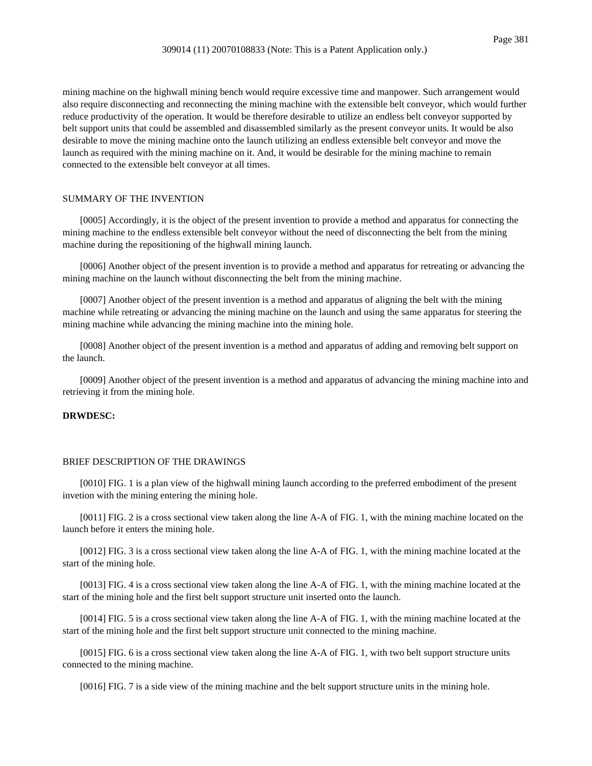mining machine on the highwall mining bench would require excessive time and manpower. Such arrangement would also require disconnecting and reconnecting the mining machine with the extensible belt conveyor, which would further reduce productivity of the operation. It would be therefore desirable to utilize an endless belt conveyor supported by belt support units that could be assembled and disassembled similarly as the present conveyor units. It would be also desirable to move the mining machine onto the launch utilizing an endless extensible belt conveyor and move the launch as required with the mining machine on it. And, it would be desirable for the mining machine to remain connected to the extensible belt conveyor at all times.

### SUMMARY OF THE INVENTION

[0005] Accordingly, it is the object of the present invention to provide a method and apparatus for connecting the mining machine to the endless extensible belt conveyor without the need of disconnecting the belt from the mining machine during the repositioning of the highwall mining launch.

[0006] Another object of the present invention is to provide a method and apparatus for retreating or advancing the mining machine on the launch without disconnecting the belt from the mining machine.

[0007] Another object of the present invention is a method and apparatus of aligning the belt with the mining machine while retreating or advancing the mining machine on the launch and using the same apparatus for steering the mining machine while advancing the mining machine into the mining hole.

[0008] Another object of the present invention is a method and apparatus of adding and removing belt support on the launch.

[0009] Another object of the present invention is a method and apparatus of advancing the mining machine into and retrieving it from the mining hole.

# **DRWDESC:**

### BRIEF DESCRIPTION OF THE DRAWINGS

[0010] FIG. 1 is a plan view of the highwall mining launch according to the preferred embodiment of the present invetion with the mining entering the mining hole.

[0011] FIG. 2 is a cross sectional view taken along the line A-A of FIG. 1, with the mining machine located on the launch before it enters the mining hole.

[0012] FIG. 3 is a cross sectional view taken along the line A-A of FIG. 1, with the mining machine located at the start of the mining hole.

[0013] FIG. 4 is a cross sectional view taken along the line A-A of FIG. 1, with the mining machine located at the start of the mining hole and the first belt support structure unit inserted onto the launch.

[0014] FIG. 5 is a cross sectional view taken along the line A-A of FIG. 1, with the mining machine located at the start of the mining hole and the first belt support structure unit connected to the mining machine.

[0015] FIG. 6 is a cross sectional view taken along the line A-A of FIG. 1, with two belt support structure units connected to the mining machine.

[0016] FIG. 7 is a side view of the mining machine and the belt support structure units in the mining hole.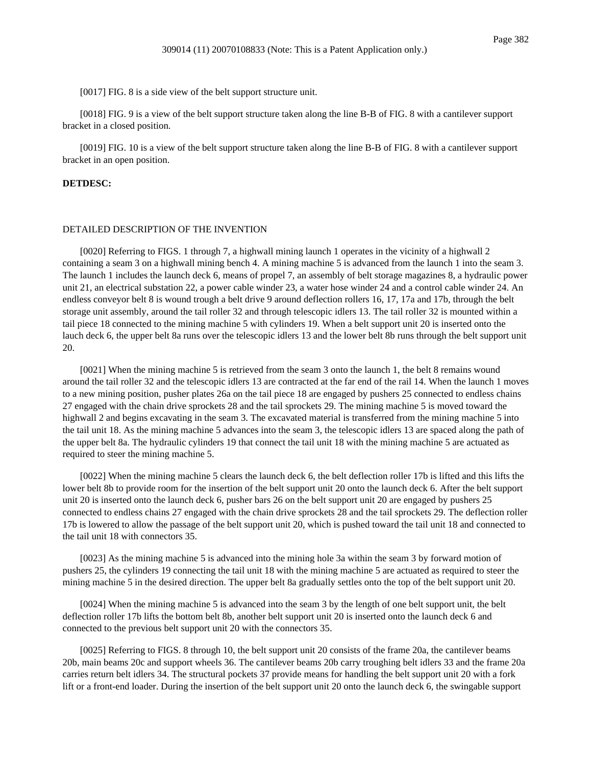[0017] FIG. 8 is a side view of the belt support structure unit.

[0018] FIG. 9 is a view of the belt support structure taken along the line B-B of FIG. 8 with a cantilever support bracket in a closed position.

[0019] FIG. 10 is a view of the belt support structure taken along the line B-B of FIG. 8 with a cantilever support bracket in an open position.

### **DETDESC:**

### DETAILED DESCRIPTION OF THE INVENTION

[0020] Referring to FIGS. 1 through 7, a highwall mining launch 1 operates in the vicinity of a highwall 2 containing a seam 3 on a highwall mining bench 4. A mining machine 5 is advanced from the launch 1 into the seam 3. The launch 1 includes the launch deck 6, means of propel 7, an assembly of belt storage magazines 8, a hydraulic power unit 21, an electrical substation 22, a power cable winder 23, a water hose winder 24 and a control cable winder 24. An endless conveyor belt 8 is wound trough a belt drive 9 around deflection rollers 16, 17, 17a and 17b, through the belt storage unit assembly, around the tail roller 32 and through telescopic idlers 13. The tail roller 32 is mounted within a tail piece 18 connected to the mining machine 5 with cylinders 19. When a belt support unit 20 is inserted onto the lauch deck 6, the upper belt 8a runs over the telescopic idlers 13 and the lower belt 8b runs through the belt support unit 20.

[0021] When the mining machine 5 is retrieved from the seam 3 onto the launch 1, the belt 8 remains wound around the tail roller 32 and the telescopic idlers 13 are contracted at the far end of the rail 14. When the launch 1 moves to a new mining position, pusher plates 26a on the tail piece 18 are engaged by pushers 25 connected to endless chains 27 engaged with the chain drive sprockets 28 and the tail sprockets 29. The mining machine 5 is moved toward the highwall 2 and begins excavating in the seam 3. The excavated material is transferred from the mining machine 5 into the tail unit 18. As the mining machine 5 advances into the seam 3, the telescopic idlers 13 are spaced along the path of the upper belt 8a. The hydraulic cylinders 19 that connect the tail unit 18 with the mining machine 5 are actuated as required to steer the mining machine 5.

[0022] When the mining machine 5 clears the launch deck 6, the belt deflection roller 17b is lifted and this lifts the lower belt 8b to provide room for the insertion of the belt support unit 20 onto the launch deck 6. After the belt support unit 20 is inserted onto the launch deck 6, pusher bars 26 on the belt support unit 20 are engaged by pushers 25 connected to endless chains 27 engaged with the chain drive sprockets 28 and the tail sprockets 29. The deflection roller 17b is lowered to allow the passage of the belt support unit 20, which is pushed toward the tail unit 18 and connected to the tail unit 18 with connectors 35.

[0023] As the mining machine 5 is advanced into the mining hole 3a within the seam 3 by forward motion of pushers 25, the cylinders 19 connecting the tail unit 18 with the mining machine 5 are actuated as required to steer the mining machine 5 in the desired direction. The upper belt 8a gradually settles onto the top of the belt support unit 20.

[0024] When the mining machine 5 is advanced into the seam 3 by the length of one belt support unit, the belt deflection roller 17b lifts the bottom belt 8b, another belt support unit 20 is inserted onto the launch deck 6 and connected to the previous belt support unit 20 with the connectors 35.

[0025] Referring to FIGS. 8 through 10, the belt support unit 20 consists of the frame 20a, the cantilever beams 20b, main beams 20c and support wheels 36. The cantilever beams 20b carry troughing belt idlers 33 and the frame 20a carries return belt idlers 34. The structural pockets 37 provide means for handling the belt support unit 20 with a fork lift or a front-end loader. During the insertion of the belt support unit 20 onto the launch deck 6, the swingable support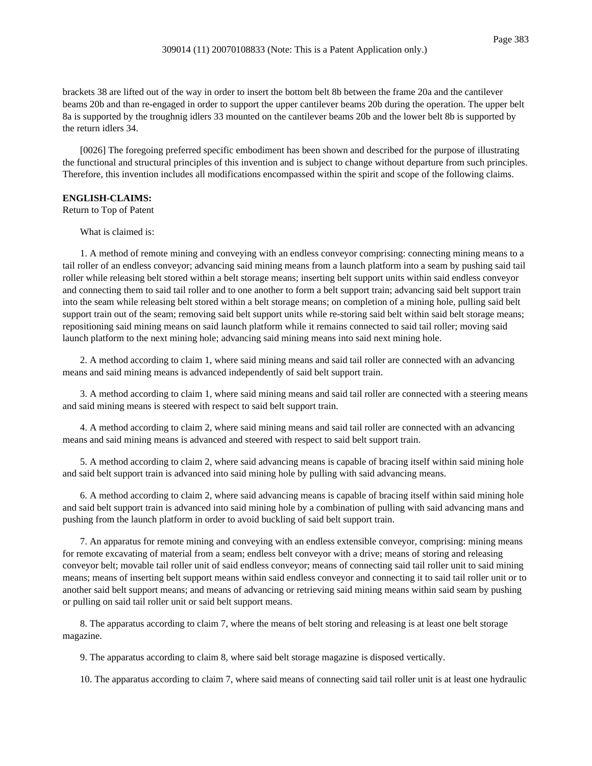brackets 38 are lifted out of the way in order to insert the bottom belt 8b between the frame 20a and the cantilever beams 20b and than re-engaged in order to support the upper cantilever beams 20b during the operation. The upper belt 8a is supported by the troughnig idlers 33 mounted on the cantilever beams 20b and the lower belt 8b is supported by the return idlers 34.

[0026] The foregoing preferred specific embodiment has been shown and described for the purpose of illustrating the functional and structural principles of this invention and is subject to change without departure from such principles. Therefore, this invention includes all modifications encompassed within the spirit and scope of the following claims.

### **ENGLISH-CLAIMS:**

Return to Top of Patent

What is claimed is:

1. A method of remote mining and conveying with an endless conveyor comprising: connecting mining means to a tail roller of an endless conveyor; advancing said mining means from a launch platform into a seam by pushing said tail roller while releasing belt stored within a belt storage means; inserting belt support units within said endless conveyor and connecting them to said tail roller and to one another to form a belt support train; advancing said belt support train into the seam while releasing belt stored within a belt storage means; on completion of a mining hole, pulling said belt support train out of the seam; removing said belt support units while re-storing said belt within said belt storage means; repositioning said mining means on said launch platform while it remains connected to said tail roller; moving said launch platform to the next mining hole; advancing said mining means into said next mining hole.

2. A method according to claim 1, where said mining means and said tail roller are connected with an advancing means and said mining means is advanced independently of said belt support train.

3. A method according to claim 1, where said mining means and said tail roller are connected with a steering means and said mining means is steered with respect to said belt support train.

4. A method according to claim 2, where said mining means and said tail roller are connected with an advancing means and said mining means is advanced and steered with respect to said belt support train.

5. A method according to claim 2, where said advancing means is capable of bracing itself within said mining hole and said belt support train is advanced into said mining hole by pulling with said advancing means.

6. A method according to claim 2, where said advancing means is capable of bracing itself within said mining hole and said belt support train is advanced into said mining hole by a combination of pulling with said advancing mans and pushing from the launch platform in order to avoid buckling of said belt support train.

7. An apparatus for remote mining and conveying with an endless extensible conveyor, comprising: mining means for remote excavating of material from a seam; endless belt conveyor with a drive; means of storing and releasing conveyor belt; movable tail roller unit of said endless conveyor; means of connecting said tail roller unit to said mining means; means of inserting belt support means within said endless conveyor and connecting it to said tail roller unit or to another said belt support means; and means of advancing or retrieving said mining means within said seam by pushing or pulling on said tail roller unit or said belt support means.

8. The apparatus according to claim 7, where the means of belt storing and releasing is at least one belt storage magazine.

9. The apparatus according to claim 8, where said belt storage magazine is disposed vertically.

10. The apparatus according to claim 7, where said means of connecting said tail roller unit is at least one hydraulic